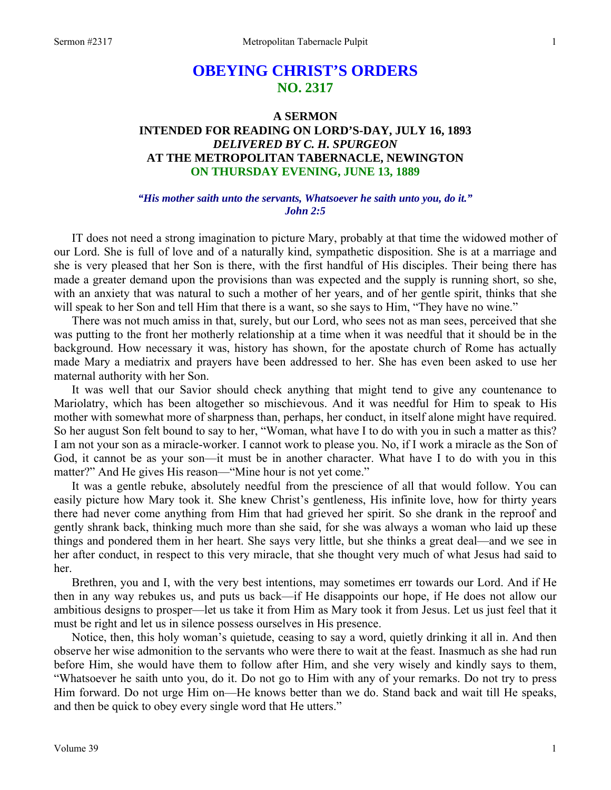# **OBEYING CHRIST'S ORDERS NO. 2317**

## **A SERMON INTENDED FOR READING ON LORD'S-DAY, JULY 16, 1893**  *DELIVERED BY C. H. SPURGEON*  **AT THE METROPOLITAN TABERNACLE, NEWINGTON ON THURSDAY EVENING, JUNE 13, 1889**

### *"His mother saith unto the servants, Whatsoever he saith unto you, do it." John 2:5*

IT does not need a strong imagination to picture Mary, probably at that time the widowed mother of our Lord. She is full of love and of a naturally kind, sympathetic disposition. She is at a marriage and she is very pleased that her Son is there, with the first handful of His disciples. Their being there has made a greater demand upon the provisions than was expected and the supply is running short, so she, with an anxiety that was natural to such a mother of her years, and of her gentle spirit, thinks that she will speak to her Son and tell Him that there is a want, so she says to Him, "They have no wine."

There was not much amiss in that, surely, but our Lord, who sees not as man sees, perceived that she was putting to the front her motherly relationship at a time when it was needful that it should be in the background. How necessary it was, history has shown, for the apostate church of Rome has actually made Mary a mediatrix and prayers have been addressed to her. She has even been asked to use her maternal authority with her Son.

It was well that our Savior should check anything that might tend to give any countenance to Mariolatry, which has been altogether so mischievous. And it was needful for Him to speak to His mother with somewhat more of sharpness than, perhaps, her conduct, in itself alone might have required. So her august Son felt bound to say to her, "Woman, what have I to do with you in such a matter as this? I am not your son as a miracle-worker. I cannot work to please you. No, if I work a miracle as the Son of God, it cannot be as your son—it must be in another character. What have I to do with you in this matter?" And He gives His reason—"Mine hour is not yet come."

It was a gentle rebuke, absolutely needful from the prescience of all that would follow. You can easily picture how Mary took it. She knew Christ's gentleness, His infinite love, how for thirty years there had never come anything from Him that had grieved her spirit. So she drank in the reproof and gently shrank back, thinking much more than she said, for she was always a woman who laid up these things and pondered them in her heart. She says very little, but she thinks a great deal—and we see in her after conduct, in respect to this very miracle, that she thought very much of what Jesus had said to her.

Brethren, you and I, with the very best intentions, may sometimes err towards our Lord. And if He then in any way rebukes us, and puts us back—if He disappoints our hope, if He does not allow our ambitious designs to prosper—let us take it from Him as Mary took it from Jesus. Let us just feel that it must be right and let us in silence possess ourselves in His presence.

Notice, then, this holy woman's quietude, ceasing to say a word, quietly drinking it all in. And then observe her wise admonition to the servants who were there to wait at the feast. Inasmuch as she had run before Him, she would have them to follow after Him, and she very wisely and kindly says to them, "Whatsoever he saith unto you, do it. Do not go to Him with any of your remarks. Do not try to press Him forward. Do not urge Him on—He knows better than we do. Stand back and wait till He speaks, and then be quick to obey every single word that He utters."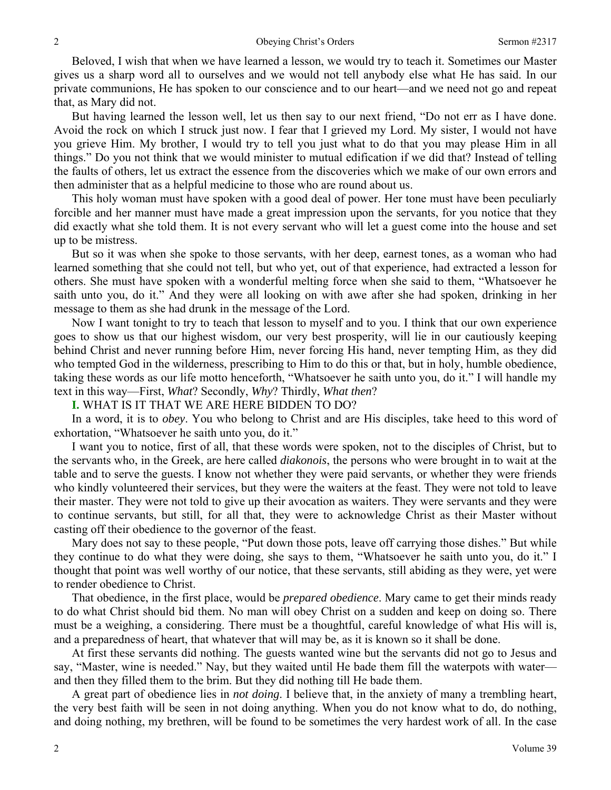Beloved, I wish that when we have learned a lesson, we would try to teach it. Sometimes our Master gives us a sharp word all to ourselves and we would not tell anybody else what He has said. In our private communions, He has spoken to our conscience and to our heart—and we need not go and repeat that, as Mary did not.

But having learned the lesson well, let us then say to our next friend, "Do not err as I have done. Avoid the rock on which I struck just now. I fear that I grieved my Lord. My sister, I would not have you grieve Him. My brother, I would try to tell you just what to do that you may please Him in all things." Do you not think that we would minister to mutual edification if we did that? Instead of telling the faults of others, let us extract the essence from the discoveries which we make of our own errors and then administer that as a helpful medicine to those who are round about us.

This holy woman must have spoken with a good deal of power. Her tone must have been peculiarly forcible and her manner must have made a great impression upon the servants, for you notice that they did exactly what she told them. It is not every servant who will let a guest come into the house and set up to be mistress.

But so it was when she spoke to those servants, with her deep, earnest tones, as a woman who had learned something that she could not tell, but who yet, out of that experience, had extracted a lesson for others. She must have spoken with a wonderful melting force when she said to them, "Whatsoever he saith unto you, do it." And they were all looking on with awe after she had spoken, drinking in her message to them as she had drunk in the message of the Lord.

Now I want tonight to try to teach that lesson to myself and to you. I think that our own experience goes to show us that our highest wisdom, our very best prosperity, will lie in our cautiously keeping behind Christ and never running before Him, never forcing His hand, never tempting Him, as they did who tempted God in the wilderness, prescribing to Him to do this or that, but in holy, humble obedience, taking these words as our life motto henceforth, "Whatsoever he saith unto you, do it." I will handle my text in this way—First, *What*? Secondly, *Why*? Thirdly, *What then*?

**I.** WHAT IS IT THAT WE ARE HERE BIDDEN TO DO?

In a word, it is to *obey*. You who belong to Christ and are His disciples, take heed to this word of exhortation, "Whatsoever he saith unto you, do it."

I want you to notice, first of all, that these words were spoken, not to the disciples of Christ, but to the servants who, in the Greek, are here called *diakonois*, the persons who were brought in to wait at the table and to serve the guests. I know not whether they were paid servants, or whether they were friends who kindly volunteered their services, but they were the waiters at the feast. They were not told to leave their master. They were not told to give up their avocation as waiters. They were servants and they were to continue servants, but still, for all that, they were to acknowledge Christ as their Master without casting off their obedience to the governor of the feast.

Mary does not say to these people, "Put down those pots, leave off carrying those dishes." But while they continue to do what they were doing, she says to them, "Whatsoever he saith unto you, do it." I thought that point was well worthy of our notice, that these servants, still abiding as they were, yet were to render obedience to Christ.

That obedience, in the first place, would be *prepared obedience*. Mary came to get their minds ready to do what Christ should bid them. No man will obey Christ on a sudden and keep on doing so. There must be a weighing, a considering. There must be a thoughtful, careful knowledge of what His will is, and a preparedness of heart, that whatever that will may be, as it is known so it shall be done.

At first these servants did nothing. The guests wanted wine but the servants did not go to Jesus and say, "Master, wine is needed." Nay, but they waited until He bade them fill the waterpots with water and then they filled them to the brim. But they did nothing till He bade them.

A great part of obedience lies in *not doing*. I believe that, in the anxiety of many a trembling heart, the very best faith will be seen in not doing anything. When you do not know what to do, do nothing, and doing nothing, my brethren, will be found to be sometimes the very hardest work of all. In the case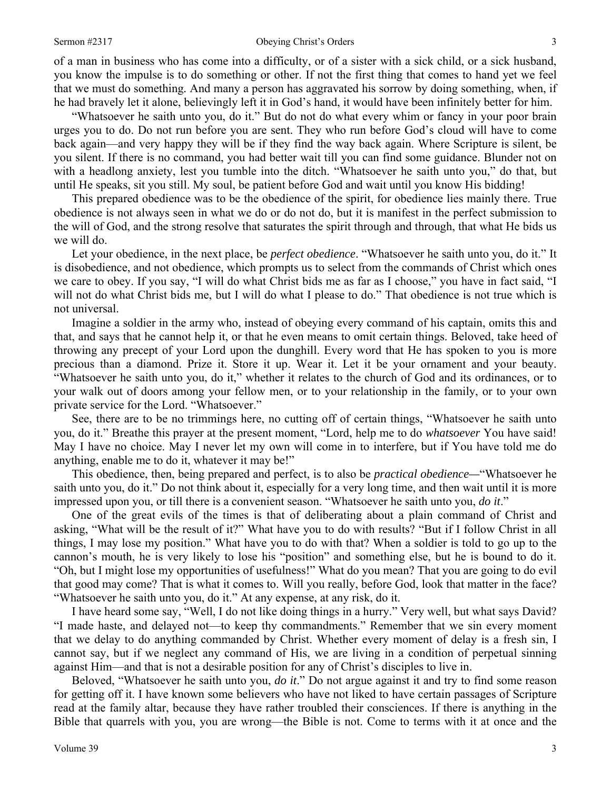#### Sermon #2317 **Obeying Christ's Orders** 3

of a man in business who has come into a difficulty, or of a sister with a sick child, or a sick husband, you know the impulse is to do something or other. If not the first thing that comes to hand yet we feel that we must do something*.* And many a person has aggravated his sorrow by doing something, when, if he had bravely let it alone, believingly left it in God's hand, it would have been infinitely better for him.

"Whatsoever he saith unto you, do it." But do not do what every whim or fancy in your poor brain urges you to do. Do not run before you are sent. They who run before God's cloud will have to come back again—and very happy they will be if they find the way back again. Where Scripture is silent, be you silent. If there is no command, you had better wait till you can find some guidance. Blunder not on with a headlong anxiety, lest you tumble into the ditch. "Whatsoever he saith unto you," do that, but until He speaks, sit you still. My soul, be patient before God and wait until you know His bidding!

This prepared obedience was to be the obedience of the spirit, for obedience lies mainly there. True obedience is not always seen in what we do or do not do, but it is manifest in the perfect submission to the will of God, and the strong resolve that saturates the spirit through and through, that what He bids us we will do.

Let your obedience, in the next place, be *perfect obedience*. "Whatsoever he saith unto you, do it." It is disobedience, and not obedience, which prompts us to select from the commands of Christ which ones we care to obey. If you say, "I will do what Christ bids me as far as I choose," you have in fact said, "I will not do what Christ bids me, but I will do what I please to do." That obedience is not true which is not universal.

Imagine a soldier in the army who, instead of obeying every command of his captain, omits this and that, and says that he cannot help it, or that he even means to omit certain things. Beloved, take heed of throwing any precept of your Lord upon the dunghill. Every word that He has spoken to you is more precious than a diamond. Prize it. Store it up. Wear it. Let it be your ornament and your beauty. "Whatsoever he saith unto you, do it," whether it relates to the church of God and its ordinances, or to your walk out of doors among your fellow men, or to your relationship in the family, or to your own private service for the Lord. "Whatsoever."

See, there are to be no trimmings here, no cutting off of certain things, "Whatsoever he saith unto you, do it." Breathe this prayer at the present moment, "Lord, help me to do *whatsoever* You have said! May I have no choice. May I never let my own will come in to interfere, but if You have told me do anything, enable me to do it, whatever it may be!"

This obedience, then, being prepared and perfect, is to also be *practical obedience—*"Whatsoever he saith unto you, do it." Do not think about it, especially for a very long time, and then wait until it is more impressed upon you, or till there is a convenient season. "Whatsoever he saith unto you, *do it*."

One of the great evils of the times is that of deliberating about a plain command of Christ and asking, "What will be the result of it?" What have you to do with results? "But if I follow Christ in all things, I may lose my position." What have you to do with that? When a soldier is told to go up to the cannon's mouth, he is very likely to lose his "position" and something else, but he is bound to do it. "Oh, but I might lose my opportunities of usefulness!" What do you mean? That you are going to do evil that good may come? That is what it comes to. Will you really, before God, look that matter in the face? "Whatsoever he saith unto you, do it." At any expense, at any risk, do it.

I have heard some say, "Well, I do not like doing things in a hurry." Very well, but what says David? "I made haste, and delayed not—to keep thy commandments." Remember that we sin every moment that we delay to do anything commanded by Christ. Whether every moment of delay is a fresh sin, I cannot say, but if we neglect any command of His, we are living in a condition of perpetual sinning against Him—and that is not a desirable position for any of Christ's disciples to live in.

Beloved, "Whatsoever he saith unto you, *do it*." Do not argue against it and try to find some reason for getting off it. I have known some believers who have not liked to have certain passages of Scripture read at the family altar, because they have rather troubled their consciences. If there is anything in the Bible that quarrels with you, you are wrong—the Bible is not. Come to terms with it at once and the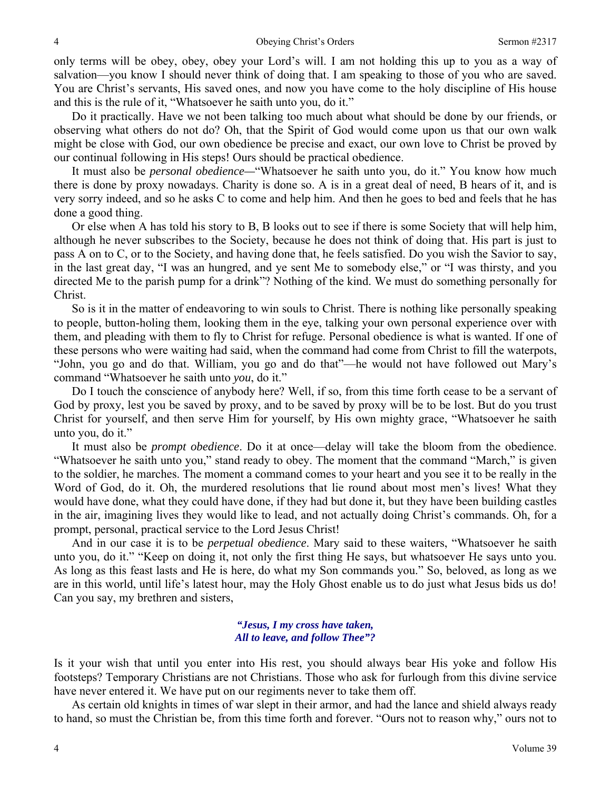only terms will be obey, obey, obey your Lord's will. I am not holding this up to you as a way of salvation—you know I should never think of doing that. I am speaking to those of you who are saved. You are Christ's servants, His saved ones, and now you have come to the holy discipline of His house and this is the rule of it, "Whatsoever he saith unto you, do it."

Do it practically. Have we not been talking too much about what should be done by our friends, or observing what others do not do? Oh, that the Spirit of God would come upon us that our own walk might be close with God, our own obedience be precise and exact, our own love to Christ be proved by our continual following in His steps! Ours should be practical obedience.

It must also be *personal obedience—*"Whatsoever he saith unto you, do it." You know how much there is done by proxy nowadays. Charity is done so. A is in a great deal of need, B hears of it, and is very sorry indeed, and so he asks C to come and help him. And then he goes to bed and feels that he has done a good thing.

Or else when A has told his story to B, B looks out to see if there is some Society that will help him, although he never subscribes to the Society, because he does not think of doing that. His part is just to pass A on to C, or to the Society, and having done that, he feels satisfied. Do you wish the Savior to say, in the last great day, "I was an hungred, and ye sent Me to somebody else," or "I was thirsty, and you directed Me to the parish pump for a drink"? Nothing of the kind. We must do something personally for Christ.

So is it in the matter of endeavoring to win souls to Christ. There is nothing like personally speaking to people, button-holing them, looking them in the eye, talking your own personal experience over with them, and pleading with them to fly to Christ for refuge. Personal obedience is what is wanted. If one of these persons who were waiting had said, when the command had come from Christ to fill the waterpots, "John, you go and do that. William, you go and do that"—he would not have followed out Mary's command "Whatsoever he saith unto *you*, do it."

Do I touch the conscience of anybody here? Well, if so, from this time forth cease to be a servant of God by proxy, lest you be saved by proxy, and to be saved by proxy will be to be lost. But do you trust Christ for yourself, and then serve Him for yourself, by His own mighty grace, "Whatsoever he saith unto you, do it."

It must also be *prompt obedience*. Do it at once—delay will take the bloom from the obedience. "Whatsoever he saith unto you," stand ready to obey. The moment that the command "March," is given to the soldier, he marches. The moment a command comes to your heart and you see it to be really in the Word of God, do it. Oh, the murdered resolutions that lie round about most men's lives! What they would have done, what they could have done, if they had but done it, but they have been building castles in the air, imagining lives they would like to lead, and not actually doing Christ's commands. Oh, for a prompt, personal, practical service to the Lord Jesus Christ!

And in our case it is to be *perpetual obedience*. Mary said to these waiters, "Whatsoever he saith unto you, do it." "Keep on doing it, not only the first thing He says, but whatsoever He says unto you. As long as this feast lasts and He is here, do what my Son commands you." So, beloved, as long as we are in this world, until life's latest hour, may the Holy Ghost enable us to do just what Jesus bids us do! Can you say, my brethren and sisters,

#### *"Jesus, I my cross have taken, All to leave, and follow Thee"?*

Is it your wish that until you enter into His rest, you should always bear His yoke and follow His footsteps? Temporary Christians are not Christians. Those who ask for furlough from this divine service have never entered it. We have put on our regiments never to take them off.

As certain old knights in times of war slept in their armor, and had the lance and shield always ready to hand, so must the Christian be, from this time forth and forever. "Ours not to reason why," ours not to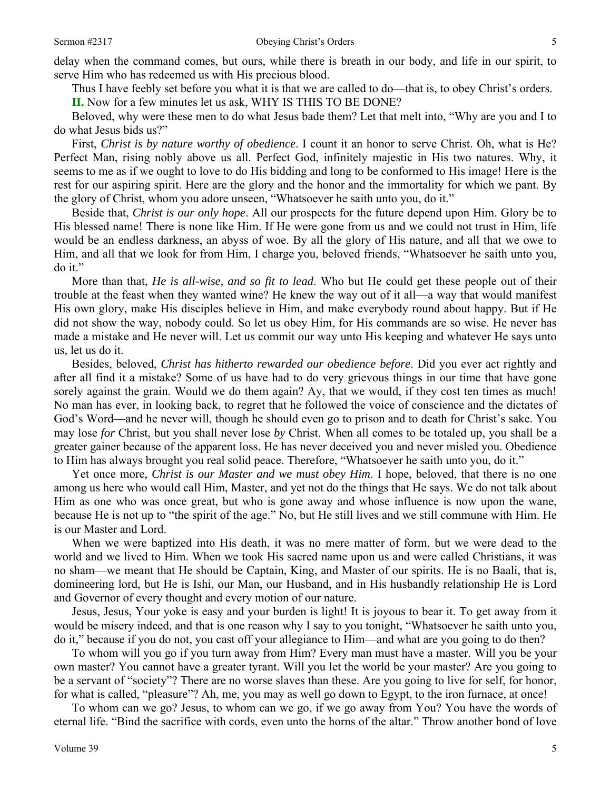Thus I have feebly set before you what it is that we are called to do—that is, to obey Christ's orders.

**II.** Now for a few minutes let us ask, WHY IS THIS TO BE DONE?

Beloved, why were these men to do what Jesus bade them? Let that melt into, "Why are you and I to do what Jesus bids us?"

First, *Christ is by nature worthy of obedience*. I count it an honor to serve Christ. Oh, what is He? Perfect Man, rising nobly above us all. Perfect God, infinitely majestic in His two natures. Why, it seems to me as if we ought to love to do His bidding and long to be conformed to His image! Here is the rest for our aspiring spirit. Here are the glory and the honor and the immortality for which we pant. By the glory of Christ, whom you adore unseen, "Whatsoever he saith unto you, do it."

Beside that, *Christ is our only hope*. All our prospects for the future depend upon Him. Glory be to His blessed name! There is none like Him. If He were gone from us and we could not trust in Him, life would be an endless darkness, an abyss of woe. By all the glory of His nature, and all that we owe to Him, and all that we look for from Him, I charge you, beloved friends, "Whatsoever he saith unto you, do it."

More than that, *He is all-wise, and so fit to lead*. Who but He could get these people out of their trouble at the feast when they wanted wine? He knew the way out of it all—a way that would manifest His own glory, make His disciples believe in Him, and make everybody round about happy. But if He did not show the way, nobody could. So let us obey Him, for His commands are so wise. He never has made a mistake and He never will. Let us commit our way unto His keeping and whatever He says unto us, let us do it.

Besides, beloved, *Christ has hitherto rewarded our obedience before*. Did you ever act rightly and after all find it a mistake? Some of us have had to do very grievous things in our time that have gone sorely against the grain. Would we do them again? Ay, that we would, if they cost ten times as much! No man has ever, in looking back, to regret that he followed the voice of conscience and the dictates of God's Word—and he never will, though he should even go to prison and to death for Christ's sake. You may lose *for* Christ, but you shall never lose *by* Christ. When all comes to be totaled up, you shall be a greater gainer because of the apparent loss. He has never deceived you and never misled you. Obedience to Him has always brought you real solid peace. Therefore, "Whatsoever he saith unto you, do it."

Yet once more, *Christ is our Master and we must obey Him*. I hope, beloved, that there is no one among us here who would call Him, Master, and yet not do the things that He says. We do not talk about Him as one who was once great, but who is gone away and whose influence is now upon the wane, because He is not up to "the spirit of the age." No, but He still lives and we still commune with Him. He is our Master and Lord.

When we were baptized into His death, it was no mere matter of form, but we were dead to the world and we lived to Him. When we took His sacred name upon us and were called Christians, it was no sham—we meant that He should be Captain, King, and Master of our spirits. He is no Baali, that is, domineering lord, but He is Ishi, our Man, our Husband, and in His husbandly relationship He is Lord and Governor of every thought and every motion of our nature.

Jesus, Jesus, Your yoke is easy and your burden is light! It is joyous to bear it. To get away from it would be misery indeed, and that is one reason why I say to you tonight, "Whatsoever he saith unto you, do it," because if you do not, you cast off your allegiance to Him—and what are you going to do then?

To whom will you go if you turn away from Him? Every man must have a master. Will you be your own master? You cannot have a greater tyrant. Will you let the world be your master? Are you going to be a servant of "society"? There are no worse slaves than these. Are you going to live for self, for honor, for what is called, "pleasure"? Ah, me, you may as well go down to Egypt, to the iron furnace, at once!

To whom can we go? Jesus, to whom can we go, if we go away from You? You have the words of eternal life. "Bind the sacrifice with cords, even unto the horns of the altar." Throw another bond of love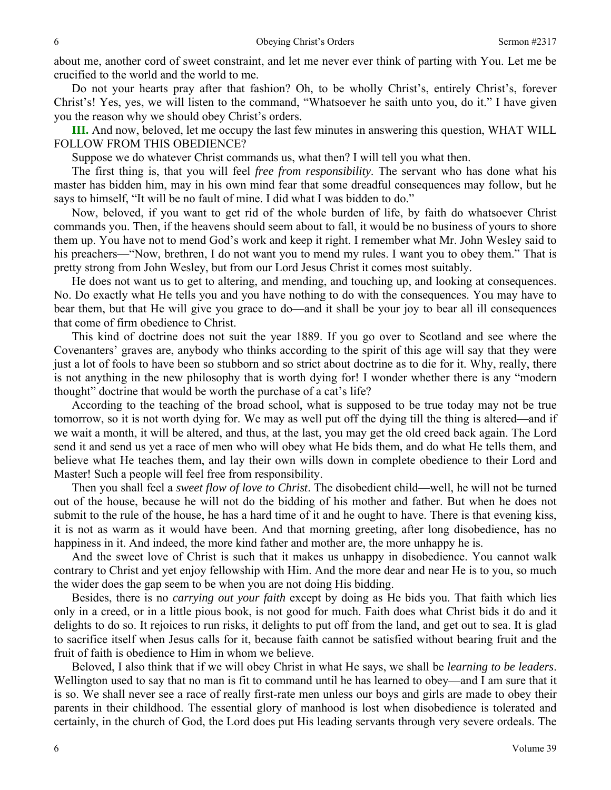about me, another cord of sweet constraint, and let me never ever think of parting with You. Let me be crucified to the world and the world to me.

Do not your hearts pray after that fashion? Oh, to be wholly Christ's, entirely Christ's, forever Christ's! Yes, yes, we will listen to the command, "Whatsoever he saith unto you, do it." I have given you the reason why we should obey Christ's orders.

**III.** And now, beloved, let me occupy the last few minutes in answering this question, WHAT WILL FOLLOW FROM THIS OBEDIENCE?

Suppose we do whatever Christ commands us, what then? I will tell you what then.

The first thing is, that you will feel *free from responsibility*. The servant who has done what his master has bidden him, may in his own mind fear that some dreadful consequences may follow, but he says to himself, "It will be no fault of mine. I did what I was bidden to do."

Now, beloved, if you want to get rid of the whole burden of life, by faith do whatsoever Christ commands you. Then, if the heavens should seem about to fall, it would be no business of yours to shore them up. You have not to mend God's work and keep it right. I remember what Mr. John Wesley said to his preachers—"Now, brethren, I do not want you to mend my rules. I want you to obey them." That is pretty strong from John Wesley, but from our Lord Jesus Christ it comes most suitably.

He does not want us to get to altering, and mending, and touching up, and looking at consequences. No. Do exactly what He tells you and you have nothing to do with the consequences. You may have to bear them, but that He will give you grace to do—and it shall be your joy to bear all ill consequences that come of firm obedience to Christ.

This kind of doctrine does not suit the year 1889. If you go over to Scotland and see where the Covenanters' graves are, anybody who thinks according to the spirit of this age will say that they were just a lot of fools to have been so stubborn and so strict about doctrine as to die for it. Why, really, there is not anything in the new philosophy that is worth dying for! I wonder whether there is any "modern thought" doctrine that would be worth the purchase of a cat's life?

According to the teaching of the broad school, what is supposed to be true today may not be true tomorrow, so it is not worth dying for. We may as well put off the dying till the thing is altered—and if we wait a month, it will be altered, and thus, at the last, you may get the old creed back again. The Lord send it and send us yet a race of men who will obey what He bids them, and do what He tells them, and believe what He teaches them, and lay their own wills down in complete obedience to their Lord and Master! Such a people will feel free from responsibility.

Then you shall feel a *sweet flow of love to Christ*. The disobedient child—well, he will not be turned out of the house, because he will not do the bidding of his mother and father. But when he does not submit to the rule of the house, he has a hard time of it and he ought to have. There is that evening kiss, it is not as warm as it would have been. And that morning greeting, after long disobedience, has no happiness in it. And indeed, the more kind father and mother are, the more unhappy he is.

And the sweet love of Christ is such that it makes us unhappy in disobedience. You cannot walk contrary to Christ and yet enjoy fellowship with Him. And the more dear and near He is to you, so much the wider does the gap seem to be when you are not doing His bidding.

Besides, there is no *carrying out your faith* except by doing as He bids you. That faith which lies only in a creed, or in a little pious book, is not good for much. Faith does what Christ bids it do and it delights to do so. It rejoices to run risks, it delights to put off from the land, and get out to sea. It is glad to sacrifice itself when Jesus calls for it, because faith cannot be satisfied without bearing fruit and the fruit of faith is obedience to Him in whom we believe.

Beloved, I also think that if we will obey Christ in what He says, we shall be *learning to be leaders*. Wellington used to say that no man is fit to command until he has learned to obey—and I am sure that it is so. We shall never see a race of really first-rate men unless our boys and girls are made to obey their parents in their childhood. The essential glory of manhood is lost when disobedience is tolerated and certainly, in the church of God, the Lord does put His leading servants through very severe ordeals. The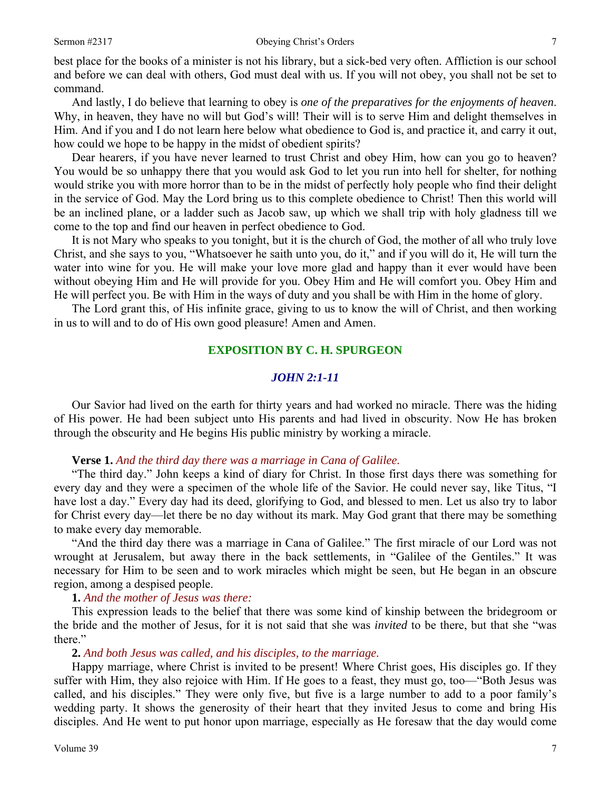best place for the books of a minister is not his library, but a sick-bed very often. Affliction is our school and before we can deal with others, God must deal with us. If you will not obey, you shall not be set to command.

And lastly, I do believe that learning to obey is *one of the preparatives for the enjoyments of heaven*. Why, in heaven, they have no will but God's will! Their will is to serve Him and delight themselves in Him. And if you and I do not learn here below what obedience to God is, and practice it, and carry it out, how could we hope to be happy in the midst of obedient spirits?

Dear hearers, if you have never learned to trust Christ and obey Him, how can you go to heaven? You would be so unhappy there that you would ask God to let you run into hell for shelter, for nothing would strike you with more horror than to be in the midst of perfectly holy people who find their delight in the service of God. May the Lord bring us to this complete obedience to Christ! Then this world will be an inclined plane, or a ladder such as Jacob saw, up which we shall trip with holy gladness till we come to the top and find our heaven in perfect obedience to God.

It is not Mary who speaks to you tonight, but it is the church of God, the mother of all who truly love Christ, and she says to you, "Whatsoever he saith unto you, do it," and if you will do it, He will turn the water into wine for you. He will make your love more glad and happy than it ever would have been without obeying Him and He will provide for you. Obey Him and He will comfort you. Obey Him and He will perfect you. Be with Him in the ways of duty and you shall be with Him in the home of glory.

The Lord grant this, of His infinite grace, giving to us to know the will of Christ, and then working in us to will and to do of His own good pleasure! Amen and Amen.

### **EXPOSITION BY C. H. SPURGEON**

### *JOHN 2:1-11*

Our Savior had lived on the earth for thirty years and had worked no miracle. There was the hiding of His power. He had been subject unto His parents and had lived in obscurity. Now He has broken through the obscurity and He begins His public ministry by working a miracle.

#### **Verse 1.** *And the third day there was a marriage in Cana of Galilee.*

"The third day." John keeps a kind of diary for Christ. In those first days there was something for every day and they were a specimen of the whole life of the Savior. He could never say, like Titus, "I have lost a day." Every day had its deed, glorifying to God, and blessed to men. Let us also try to labor for Christ every day—let there be no day without its mark. May God grant that there may be something to make every day memorable.

"And the third day there was a marriage in Cana of Galilee." The first miracle of our Lord was not wrought at Jerusalem, but away there in the back settlements, in "Galilee of the Gentiles." It was necessary for Him to be seen and to work miracles which might be seen, but He began in an obscure region, among a despised people.

#### **1.** *And the mother of Jesus was there:*

This expression leads to the belief that there was some kind of kinship between the bridegroom or the bride and the mother of Jesus, for it is not said that she was *invited* to be there, but that she "was there."

#### **2.** *And both Jesus was called, and his disciples, to the marriage.*

Happy marriage, where Christ is invited to be present! Where Christ goes, His disciples go. If they suffer with Him, they also rejoice with Him. If He goes to a feast, they must go, too—"Both Jesus was called, and his disciples." They were only five, but five is a large number to add to a poor family's wedding party. It shows the generosity of their heart that they invited Jesus to come and bring His disciples. And He went to put honor upon marriage, especially as He foresaw that the day would come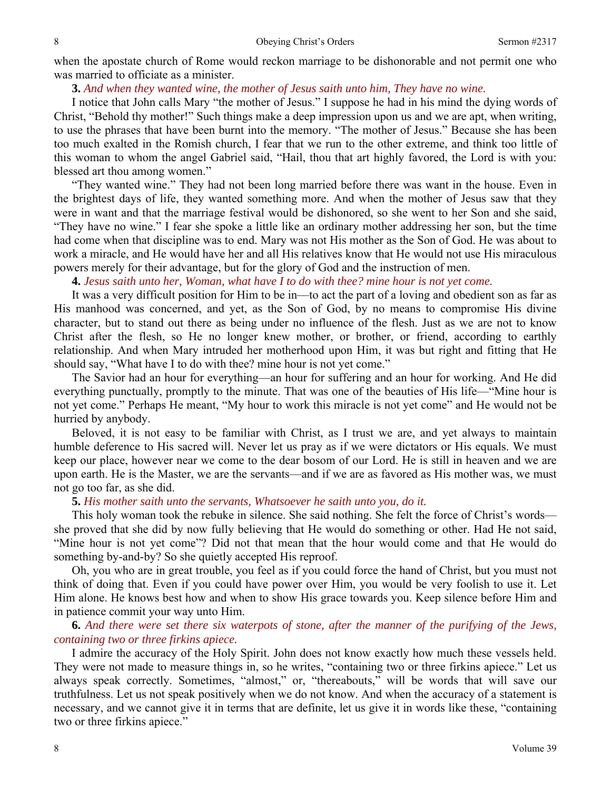when the apostate church of Rome would reckon marriage to be dishonorable and not permit one who was married to officiate as a minister.

### **3.** *And when they wanted wine, the mother of Jesus saith unto him, They have no wine.*

I notice that John calls Mary "the mother of Jesus." I suppose he had in his mind the dying words of Christ, "Behold thy mother!" Such things make a deep impression upon us and we are apt, when writing, to use the phrases that have been burnt into the memory. "The mother of Jesus." Because she has been too much exalted in the Romish church, I fear that we run to the other extreme, and think too little of this woman to whom the angel Gabriel said, "Hail, thou that art highly favored, the Lord is with you: blessed art thou among women."

"They wanted wine." They had not been long married before there was want in the house. Even in the brightest days of life, they wanted something more. And when the mother of Jesus saw that they were in want and that the marriage festival would be dishonored, so she went to her Son and she said, "They have no wine." I fear she spoke a little like an ordinary mother addressing her son, but the time had come when that discipline was to end. Mary was not His mother as the Son of God. He was about to work a miracle, and He would have her and all His relatives know that He would not use His miraculous powers merely for their advantage, but for the glory of God and the instruction of men.

### **4.** *Jesus saith unto her, Woman, what have I to do with thee? mine hour is not yet come.*

It was a very difficult position for Him to be in—to act the part of a loving and obedient son as far as His manhood was concerned, and yet, as the Son of God, by no means to compromise His divine character, but to stand out there as being under no influence of the flesh. Just as we are not to know Christ after the flesh, so He no longer knew mother, or brother, or friend, according to earthly relationship. And when Mary intruded her motherhood upon Him, it was but right and fitting that He should say, "What have I to do with thee? mine hour is not yet come."

The Savior had an hour for everything—an hour for suffering and an hour for working. And He did everything punctually, promptly to the minute. That was one of the beauties of His life—"Mine hour is not yet come." Perhaps He meant, "My hour to work this miracle is not yet come" and He would not be hurried by anybody.

Beloved, it is not easy to be familiar with Christ, as I trust we are, and yet always to maintain humble deference to His sacred will. Never let us pray as if we were dictators or His equals. We must keep our place, however near we come to the dear bosom of our Lord. He is still in heaven and we are upon earth. He is the Master, we are the servants—and if we are as favored as His mother was, we must not go too far, as she did.

### **5.** *His mother saith unto the servants, Whatsoever he saith unto you, do it.*

This holy woman took the rebuke in silence. She said nothing. She felt the force of Christ's words she proved that she did by now fully believing that He would do something or other. Had He not said, "Mine hour is not yet come"? Did not that mean that the hour would come and that He would do something by-and-by? So she quietly accepted His reproof.

Oh, you who are in great trouble, you feel as if you could force the hand of Christ, but you must not think of doing that. Even if you could have power over Him, you would be very foolish to use it. Let Him alone. He knows best how and when to show His grace towards you. Keep silence before Him and in patience commit your way unto Him.

## **6.** *And there were set there six waterpots of stone, after the manner of the purifying of the Jews, containing two or three firkins apiece.*

I admire the accuracy of the Holy Spirit. John does not know exactly how much these vessels held. They were not made to measure things in, so he writes, "containing two or three firkins apiece." Let us always speak correctly. Sometimes, "almost," or, "thereabouts," will be words that will save our truthfulness. Let us not speak positively when we do not know. And when the accuracy of a statement is necessary, and we cannot give it in terms that are definite, let us give it in words like these, "containing two or three firkins apiece."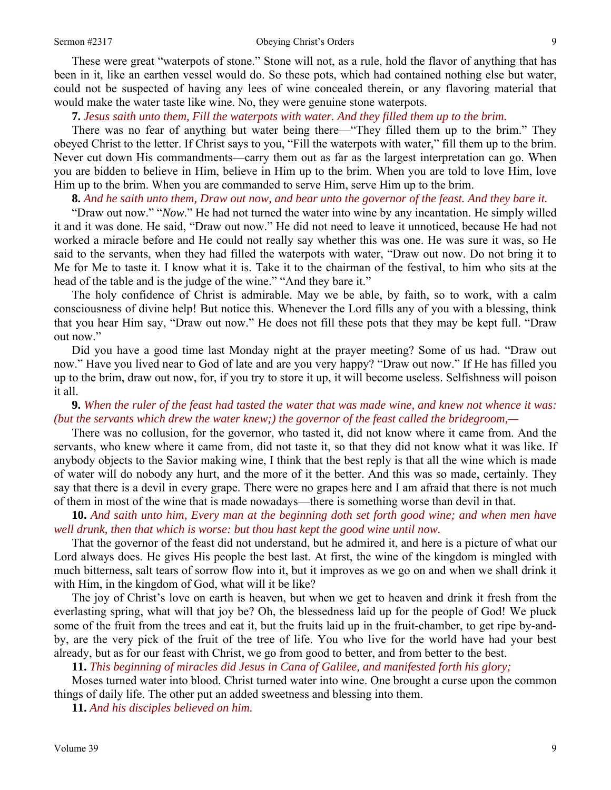#### Sermon #2317 Obeying Christ's Orders 9

These were great "waterpots of stone." Stone will not, as a rule, hold the flavor of anything that has been in it, like an earthen vessel would do. So these pots, which had contained nothing else but water, could not be suspected of having any lees of wine concealed therein, or any flavoring material that would make the water taste like wine. No, they were genuine stone waterpots.

**7.** *Jesus saith unto them, Fill the waterpots with water. And they filled them up to the brim.* 

There was no fear of anything but water being there—"They filled them up to the brim." They obeyed Christ to the letter. If Christ says to you, "Fill the waterpots with water," fill them up to the brim. Never cut down His commandments—carry them out as far as the largest interpretation can go. When you are bidden to believe in Him, believe in Him up to the brim. When you are told to love Him, love Him up to the brim. When you are commanded to serve Him, serve Him up to the brim.

**8.** *And he saith unto them, Draw out now, and bear unto the governor of the feast. And they bare it.*

"Draw out now." "*Now*." He had not turned the water into wine by any incantation. He simply willed it and it was done. He said, "Draw out now." He did not need to leave it unnoticed, because He had not worked a miracle before and He could not really say whether this was one. He was sure it was, so He said to the servants, when they had filled the waterpots with water, "Draw out now. Do not bring it to Me for Me to taste it. I know what it is. Take it to the chairman of the festival, to him who sits at the head of the table and is the judge of the wine." "And they bare it."

The holy confidence of Christ is admirable. May we be able, by faith, so to work, with a calm consciousness of divine help! But notice this. Whenever the Lord fills any of you with a blessing, think that you hear Him say, "Draw out now." He does not fill these pots that they may be kept full. "Draw out now."

Did you have a good time last Monday night at the prayer meeting? Some of us had. "Draw out now." Have you lived near to God of late and are you very happy? "Draw out now." If He has filled you up to the brim, draw out now, for, if you try to store it up, it will become useless. Selfishness will poison it all.

**9.** *When the ruler of the feast had tasted the water that was made wine, and knew not whence it was: (but the servants which drew the water knew;) the governor of the feast called the bridegroom,—* 

There was no collusion, for the governor, who tasted it, did not know where it came from. And the servants, who knew where it came from, did not taste it, so that they did not know what it was like. If anybody objects to the Savior making wine, I think that the best reply is that all the wine which is made of water will do nobody any hurt, and the more of it the better. And this was so made, certainly. They say that there is a devil in every grape. There were no grapes here and I am afraid that there is not much of them in most of the wine that is made nowadays—there is something worse than devil in that.

**10.** *And saith unto him, Every man at the beginning doth set forth good wine; and when men have well drunk, then that which is worse: but thou hast kept the good wine until now.*

That the governor of the feast did not understand, but he admired it, and here is a picture of what our Lord always does. He gives His people the best last. At first, the wine of the kingdom is mingled with much bitterness, salt tears of sorrow flow into it, but it improves as we go on and when we shall drink it with Him, in the kingdom of God, what will it be like?

The joy of Christ's love on earth is heaven, but when we get to heaven and drink it fresh from the everlasting spring, what will that joy be? Oh, the blessedness laid up for the people of God! We pluck some of the fruit from the trees and eat it, but the fruits laid up in the fruit-chamber, to get ripe by-andby, are the very pick of the fruit of the tree of life. You who live for the world have had your best already, but as for our feast with Christ, we go from good to better, and from better to the best.

**11.** *This beginning of miracles did Jesus in Cana of Galilee, and manifested forth his glory;* 

Moses turned water into blood. Christ turned water into wine. One brought a curse upon the common things of daily life. The other put an added sweetness and blessing into them.

**11.** *And his disciples believed on him.*